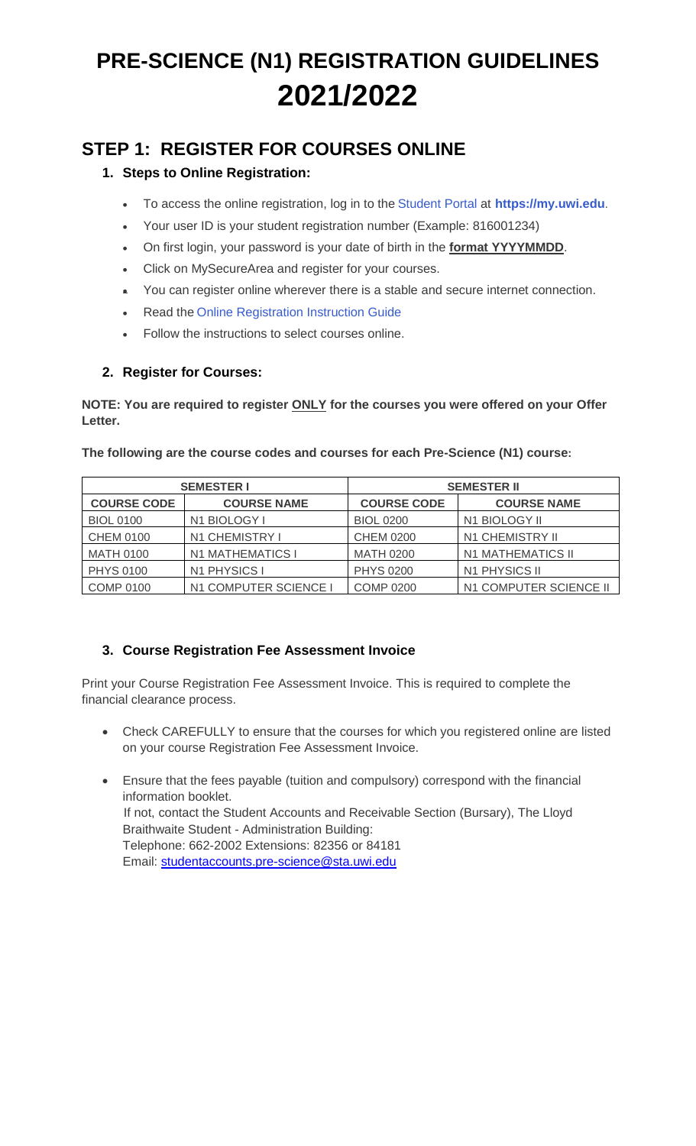# **PRE-SCIENCE (N1) REGISTRATION GUIDELINES 2021/2022**

# **STEP 1: REGISTER FOR COURSES ONLINE**

### **1. Steps to Online Registration:**

- To access the online registration, log in to the [Student Portal](https://my.uwi.edu/) at **[https://my.uwi.edu](https://my.uwi.edu/)**.
- Your user ID is your student registration number (Example: 816001234)
- On first login, your password is your date of birth in the **format YYYYMMDD**.
- Click on MySecureArea and register for your courses.
- You can register online wherever there is a stable and secure internet connection.
- Read the [Online Registration Instruction Guide](file://///safst01/Pre-Science%20Programme/Pre-Science%20Programme%202021-2022/Misc/Registration%20Documents/Misc/Student%20Registration%20Instruction%20Guide.pdf)
- Follow the instructions to select courses online.

### **2. Register for Courses:**

**NOTE: You are required to register ONLY for the courses you were offered on your Offer Letter.**

|                    | <b>SEMESTER I</b>     | <b>SEMESTER II</b> |                          |  |
|--------------------|-----------------------|--------------------|--------------------------|--|
| <b>COURSE CODE</b> | <b>COURSE NAME</b>    | <b>COURSE CODE</b> | <b>COURSE NAME</b>       |  |
| <b>BIOL 0100</b>   | N1 BIOLOGY I          | <b>BIOL 0200</b>   | N1 BIOLOGY II            |  |
| <b>CHEM 0100</b>   | N1 CHEMISTRY I        | <b>CHEM 0200</b>   | N1 CHEMISTRY II          |  |
| <b>MATH 0100</b>   | N1 MATHEMATICS I      | <b>MATH 0200</b>   | <b>N1 MATHEMATICS II</b> |  |
| <b>PHYS 0100</b>   | N1 PHYSICS I          | <b>PHYS 0200</b>   | N1 PHYSICS II            |  |
| <b>COMP 0100</b>   | N1 COMPUTER SCIENCE I | <b>COMP 0200</b>   | N1 COMPUTER SCIENCE II   |  |

#### **The following are the course codes and courses for each Pre-Science (N1) course:**

### **3. Course Registration Fee Assessment Invoice**

Print your Course Registration Fee Assessment Invoice. This is required to complete the financial clearance process.

- Check CAREFULLY to ensure that the courses for which you registered online are listed on your course Registration Fee Assessment Invoice.
- Ensure that the fees payable (tuition and compulsory) correspond with the financial information booklet. If not, contact the Student Accounts and Receivable Section (Bursary), The Lloyd Braithwaite Student - Administration Building: Telephone: 662-2002 Extensions: 82356 or 84181 Email: [studentaccounts.pre-science@sta.uwi.edu](mailto:studentaccounts.pre-science@sta.uwi.edu)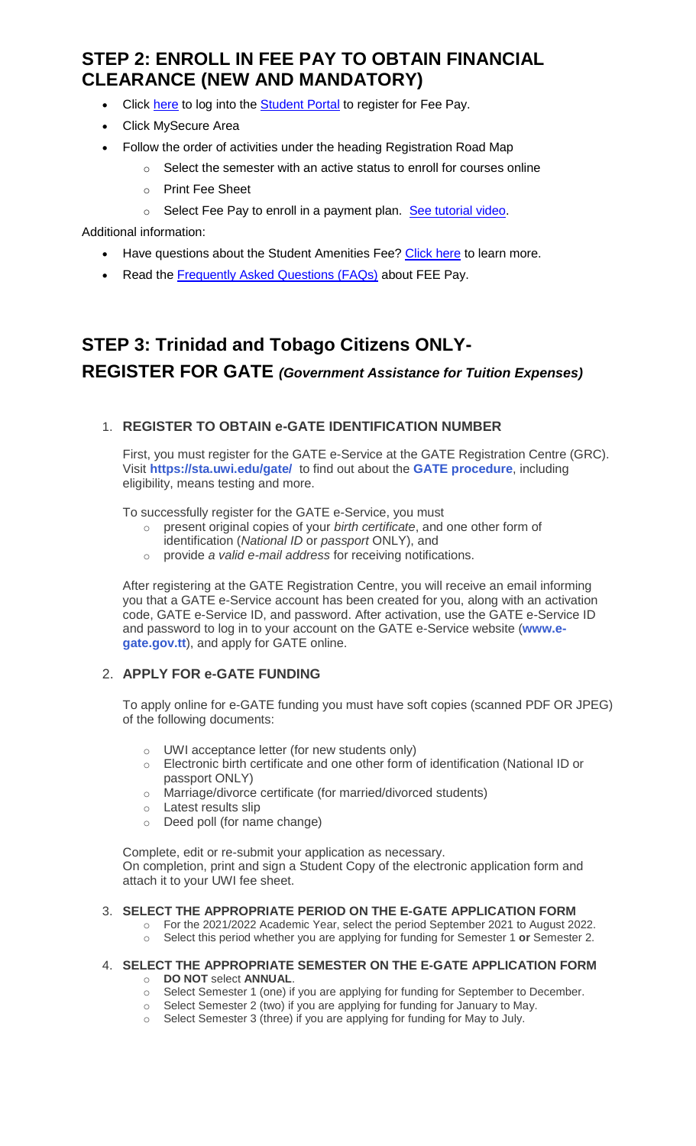# **STEP 2: ENROLL IN FEE PAY TO OBTAIN FINANCIAL CLEARANCE (NEW AND MANDATORY)**

- Click [here](https://mycas.sta.uwi.edu/cas/login?service=https%3A%2F%2Fmy.uwi.edu%2Fpaf%2Fauthorize) to log into the **[Student Portal](https://mycas.sta.uwi.edu/cas/login?service=https%3A%2F%2Fmy.uwi.edu%2Fpaf%2Fauthorize)** to register for Fee Pay.
- Click MySecure Area
- Follow the order of activities under the heading Registration Road Map
	- $\circ$  Select the semester with an active status to enroll for courses online
	- o Print Fee Sheet
	- o Select Fee Pay to enroll in a payment plan. [See tutorial video.](https://youtu.be/uhzSl5lgAIA)

Additional information:

- Have questions about the Student Amenities Fee? [Click here](https://sta.uwi.edu/resources/documents/Student_Amenities_Fee_FAQs.pdf) to learn more.
- Read the [Frequently Asked Questions \(FAQs\)](https://sta.uwi.edu/registration/documents/FAQ_Fee_Pay.pdf) about FEE Pay.

# **STEP 3: Trinidad and Tobago Citizens ONLY-REGISTER FOR GATE** *(Government Assistance for Tuition Expenses)*

#### 1. **REGISTER TO OBTAIN e-GATE IDENTIFICATION NUMBER**

First, you must register for the GATE e-Service at the GATE Registration Centre (GRC). Visit **<https://sta.uwi.edu/gate/>** to find out about the **[GATE procedure](https://sta.uwi.edu/gate/)**, including eligibility, means testing and more.

To successfully register for the GATE e-Service, you must

- o present original copies of your *birth certificate*, and one other form of identification (*National ID* or *passport* ONLY), and
- o provide *a valid e-mail address* for receiving notifications.

After registering at the GATE Registration Centre, you will receive an email informing you that a GATE e-Service account has been created for you, along with an activation code, GATE e-Service ID, and password. After activation, use the GATE e-Service ID and password to log in to your account on the GATE e-Service website (**[www.e](https://www.e-gate.gov.tt/)[gate.gov.tt](https://www.e-gate.gov.tt/)**), and apply for GATE online.

#### 2. **APPLY FOR e-GATE FUNDING**

To apply online for e-GATE funding you must have soft copies (scanned PDF OR JPEG) of the following documents:

- o UWI acceptance letter (for new students only)
- o Electronic birth certificate and one other form of identification (National ID or passport ONLY)
- o Marriage/divorce certificate (for married/divorced students)
- o Latest results slip
- o Deed poll (for name change)

Complete, edit or re-submit your application as necessary. On completion, print and sign a Student Copy of the electronic application form and attach it to your UWI fee sheet.

#### 3. **SELECT THE APPROPRIATE PERIOD ON THE E-GATE APPLICATION FORM**

- o For the 2021/2022 Academic Year, select the period September 2021 to August 2022.
- o Select this period whether you are applying for funding for Semester 1 **or** Semester 2.

#### 4. **SELECT THE APPROPRIATE SEMESTER ON THE E-GATE APPLICATION FORM** o **DO NOT** select **ANNUAL**.

- $\circ$  Select Semester 1 (one) if you are applying for funding for September to December.
- $\circ$  Select Semester 2 (two) if you are applying for funding for January to May.
- $\circ$  Select Semester 3 (three) if you are applying for funding for May to July.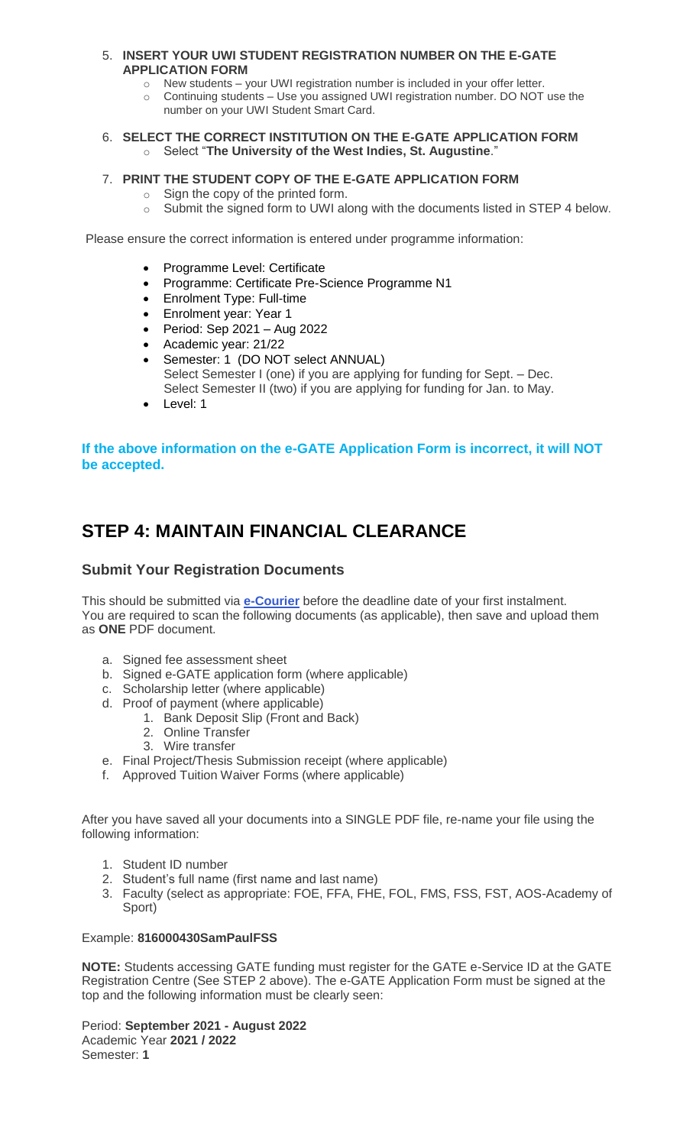#### 5. **INSERT YOUR UWI STUDENT REGISTRATION NUMBER ON THE E-GATE APPLICATION FORM**

- o New students your UWI registration number is included in your offer letter.
- o Continuing students Use you assigned UWI registration number. DO NOT use the number on your UWI Student Smart Card.

#### 6. **SELECT THE CORRECT INSTITUTION ON THE E-GATE APPLICATION FORM** o Select "**The University of the West Indies, St. Augustine**."

#### 7. **PRINT THE STUDENT COPY OF THE E-GATE APPLICATION FORM**

- o Sign the copy of the printed form.
- $\circ$  Submit the signed form to UWI along with the documents listed in STEP 4 below.

Please ensure the correct information is entered under programme information:

- Programme Level: Certificate
- Programme: Certificate Pre-Science Programme N1
- Enrolment Type: Full-time
- Enrolment year: Year 1
- $\bullet$  Period: Sep 2021 Aug 2022
- Academic year: 21/22
- Semester: 1 (DO NOT select ANNUAL) Select Semester I (one) if you are applying for funding for Sept. – Dec. Select Semester II (two) if you are applying for funding for Jan. to May.
- Level: 1

#### **If the above information on the e-GATE Application Form is incorrect, it will NOT be accepted.**

# **STEP 4: MAINTAIN FINANCIAL CLEARANCE**

#### **Submit Your Registration Documents**

This should be submitted via **[e-Courier](https://e-courier.ca/aQ?is=Zjkl33oH3Y8e)** before the deadline date of your first instalment. You are required to scan the following documents (as applicable), then save and upload them as **ONE** PDF document.

- a. Signed fee assessment sheet
- b. Signed e-GATE application form (where applicable)
- c. Scholarship letter (where applicable)
- d. Proof of payment (where applicable)
	- 1. Bank Deposit Slip (Front and Back)
	- 2. Online Transfer
	- 3. Wire transfer
- e. Final Project/Thesis Submission receipt (where applicable)
- f. Approved Tuition Waiver Forms (where applicable)

After you have saved all your documents into a SINGLE PDF file, re-name your file using the following information:

- 1. Student ID number
- 2. Student's full name (first name and last name)
- 3. Faculty (select as appropriate: FOE, FFA, FHE, FOL, FMS, FSS, FST, AOS-Academy of Sport)

#### Example: **816000430SamPaulFSS**

**NOTE:** Students accessing GATE funding must register for the GATE e-Service ID at the GATE Registration Centre (See STEP 2 above). The e-GATE Application Form must be signed at the top and the following information must be clearly seen:

Period: **September 2021 - August 2022** Academic Year **2021 / 2022** Semester: **1**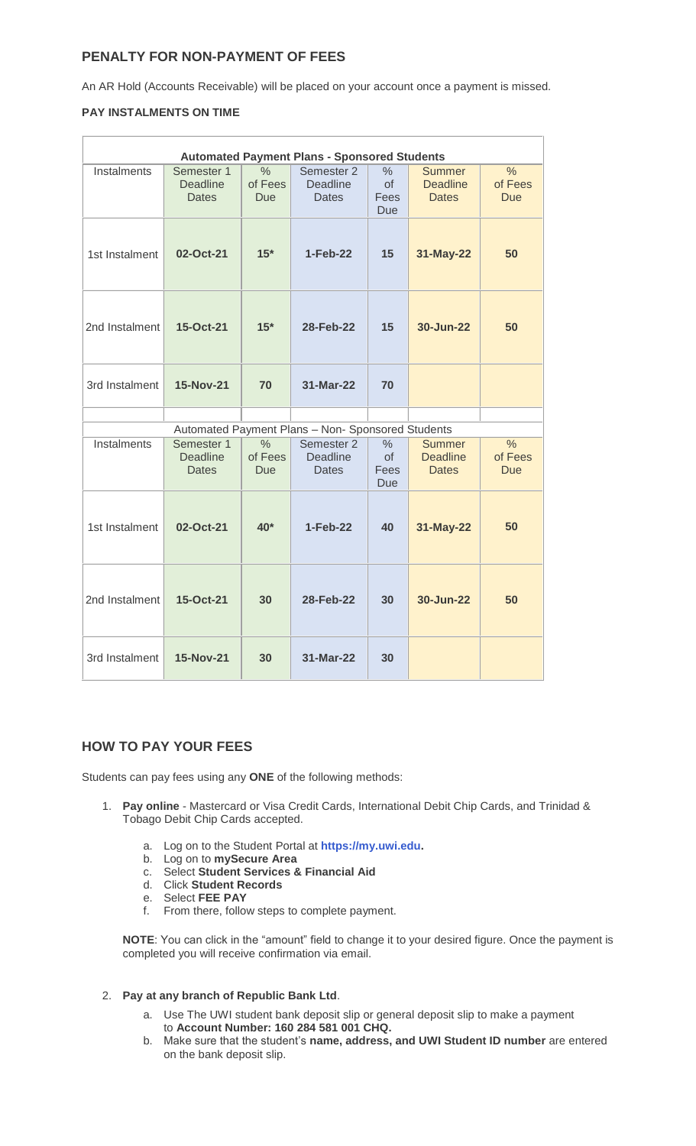#### **PENALTY FOR NON-PAYMENT OF FEES**

An AR Hold (Accounts Receivable) will be placed on your account once a payment is missed.

#### **PAY INSTALMENTS ON TIME**

| <b>Automated Payment Plans - Sponsored Students</b> |                                               |                                        |                                               |                                                  |                                                  |                                        |  |  |
|-----------------------------------------------------|-----------------------------------------------|----------------------------------------|-----------------------------------------------|--------------------------------------------------|--------------------------------------------------|----------------------------------------|--|--|
| Instalments                                         | Semester 1<br><b>Deadline</b><br><b>Dates</b> | $\frac{0}{0}$<br>of Fees<br><b>Due</b> | Semester 2<br><b>Deadline</b><br><b>Dates</b> | $\frac{0}{0}$<br><b>of</b><br>Fees<br><b>Due</b> | <b>Summer</b><br><b>Deadline</b><br><b>Dates</b> | $\frac{0}{0}$<br>of Fees<br><b>Due</b> |  |  |
| 1st Instalment                                      | 02-Oct-21                                     | $15*$                                  | 1-Feb-22                                      | 15                                               | 31-May-22                                        | 50                                     |  |  |
| 2nd Instalment                                      | 15-Oct-21                                     | $15*$                                  | 28-Feb-22                                     | 15                                               | 30-Jun-22                                        | 50                                     |  |  |
| 3rd Instalment                                      | <b>15-Nov-21</b>                              | 70                                     | 31-Mar-22                                     | 70                                               |                                                  |                                        |  |  |
| Automated Payment Plans - Non- Sponsored Students   |                                               |                                        |                                               |                                                  |                                                  |                                        |  |  |
| Instalments                                         | Semester 1<br><b>Deadline</b><br><b>Dates</b> | $\frac{0}{0}$<br>of Fees<br>Due        | Semester 2<br><b>Deadline</b><br><b>Dates</b> | $\frac{0}{0}$<br>of<br>Fees<br><b>Due</b>        | <b>Summer</b><br><b>Deadline</b><br><b>Dates</b> | $\frac{0}{0}$<br>of Fees<br><b>Due</b> |  |  |
| 1st Instalment                                      | 02-Oct-21                                     | $40*$                                  | $1-Feb-22$                                    | 40                                               | 31-May-22                                        | 50                                     |  |  |
| 2nd Instalment                                      | 15-Oct-21                                     | 30                                     | 28-Feb-22                                     | 30                                               | 30-Jun-22                                        | 50                                     |  |  |
| 3rd Instalment                                      | <b>15-Nov-21</b>                              | 30                                     | 31-Mar-22                                     | 30                                               |                                                  |                                        |  |  |

#### **HOW TO PAY YOUR FEES**

Students can pay fees using any **ONE** of the following methods:

- 1. **Pay online** Mastercard or Visa Credit Cards, International Debit Chip Cards, and Trinidad & Tobago Debit Chip Cards accepted.
	- a. Log on to the Student Portal at **[https://my.uwi.edu.](https://my.uwi.edu/)**
	- b. Log on to **mySecure Area**
	- c. Select **Student Services & Financial Aid**
	- d. Click **Student Records**
	- e. Select **FEE PAY**
	- f. From there, follow steps to complete payment.

**NOTE**: You can click in the "amount" field to change it to your desired figure. Once the payment is completed you will receive confirmation via email.

#### 2. **Pay at any branch of Republic Bank Ltd**.

- a. Use The UWI student bank deposit slip or general deposit slip to make a payment to **Account Number: 160 284 581 001 CHQ.**
- b. Make sure that the student's **name, address, and UWI Student ID number** are entered on the bank deposit slip.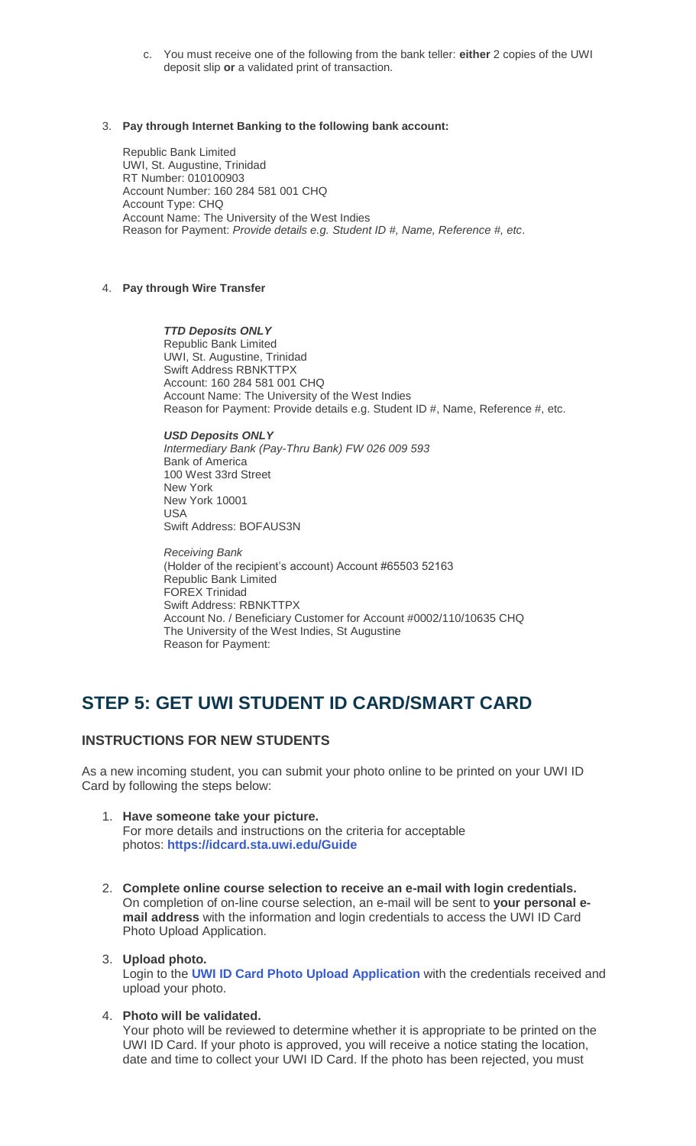c. You must receive one of the following from the bank teller: **either** 2 copies of the UWI deposit slip **or** a validated print of transaction.

#### 3. **Pay through Internet Banking to the following bank account:**

Republic Bank Limited UWI, St. Augustine, Trinidad RT Number: 010100903 Account Number: 160 284 581 001 CHQ Account Type: CHQ Account Name: The University of the West Indies Reason for Payment: *Provide details e.g. Student ID #, Name, Reference #, etc*.

#### 4. **Pay through Wire Transfer**

*TTD Deposits ONLY* Republic Bank Limited UWI, St. Augustine, Trinidad Swift Address RBNKTTPX Account: 160 284 581 001 CHQ Account Name: The University of the West Indies Reason for Payment: Provide details e.g. Student ID #, Name, Reference #, etc.

*USD Deposits ONLY Intermediary Bank (Pay-Thru Bank) FW 026 009 593* Bank of America 100 West 33rd Street New York New York 10001 USA Swift Address: BOFAUS3N

*Receiving Bank* (Holder of the recipient's account) Account #65503 52163 Republic Bank Limited FOREX Trinidad Swift Address: RBNKTTPX Account No. / Beneficiary Customer for Account #0002/110/10635 CHQ The University of the West Indies, St Augustine Reason for Payment:

## **STEP 5: GET UWI STUDENT ID CARD/SMART CARD**

#### **INSTRUCTIONS FOR NEW STUDENTS**

As a new incoming student, you can submit your photo online to be printed on your UWI ID Card by following the steps below:

- 1. **Have someone take your picture.** For more details and instructions on the criteria for acceptable photos: **<https://idcard.sta.uwi.edu/Guide>**
- 2. **Complete online course selection to receive an e-mail with login credentials.** On completion of on-line course selection, an e-mail will be sent to **your personal email address** with the information and login credentials to access the UWI ID Card Photo Upload Application.

#### 3. **Upload photo.**

Login to the **[UWI ID Card Photo Upload Application](https://idcard.sta.uwi.edu/)** with the credentials received and upload your photo.

4. **Photo will be validated.**

Your photo will be reviewed to determine whether it is appropriate to be printed on the UWI ID Card. If your photo is approved, you will receive a notice stating the location, date and time to collect your UWI ID Card. If the photo has been rejected, you must